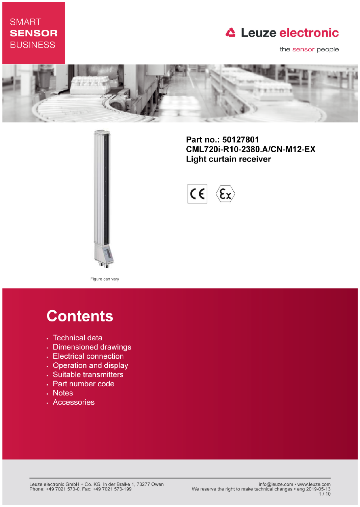# **SMART SENSOR BUSINESS**

# **△ Leuze electronic**

the sensor people



Part no.: 50127801 CML720i-R10-2380.A/CN-M12-EX **Light curtain receiver** 



Figure can vary

# **Contents**

- · Technical data
- · Dimensioned drawings
- Electrical connection
- Operation and display
- · Suitable transmitters
- Part number code
- . Notes
- · Accessories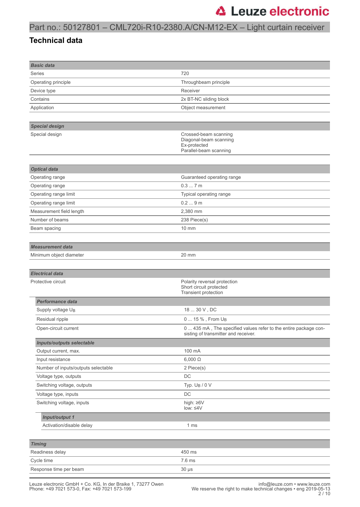## Part no.: 50127801 – CML720i-R10-2380.A/CN-M12-EX – Light curtain receiver

#### **Technical data**

| <b>Basic data</b>                   |                                                                                                          |
|-------------------------------------|----------------------------------------------------------------------------------------------------------|
| Series                              | 720                                                                                                      |
| Operating principle                 | Throughbeam principle                                                                                    |
| Device type                         | Receiver                                                                                                 |
| Contains                            | 2x BT-NC sliding block                                                                                   |
| Application                         | Object measurement                                                                                       |
|                                     |                                                                                                          |
| <b>Special design</b>               |                                                                                                          |
| Special design                      | Crossed-beam scanning<br>Diagonal-beam scanning<br>Ex-protected<br>Parallel-beam scanning                |
|                                     |                                                                                                          |
| <b>Optical data</b>                 |                                                                                                          |
| Operating range                     | Guaranteed operating range                                                                               |
| Operating range                     | 0.37m                                                                                                    |
| Operating range limit               | Typical operating range                                                                                  |
| Operating range limit               | 0.29m                                                                                                    |
| Measurement field length            | 2,380 mm                                                                                                 |
| Number of beams                     | 238 Piece(s)                                                                                             |
| Beam spacing                        | $10 \text{ mm}$                                                                                          |
|                                     |                                                                                                          |
| <b>Measurement data</b>             |                                                                                                          |
| Minimum object diameter             | 20 mm                                                                                                    |
|                                     |                                                                                                          |
| <b>Electrical data</b>              |                                                                                                          |
| Protective circuit                  | Polarity reversal protection<br>Short circuit protected<br>Transient protection                          |
| <b>Performance data</b>             |                                                                                                          |
| Supply voltage UB                   | 18  30 V, DC                                                                                             |
| Residual ripple                     | 0  15 %, From U <sub>B</sub>                                                                             |
| Open-circuit current                | 0  435 mA, The specified values refer to the entire package con-<br>sisting of transmitter and receiver. |
| <b>Inputs/outputs selectable</b>    |                                                                                                          |
| Output current, max.                | 100 mA                                                                                                   |
| Input resistance                    | $6,000 \Omega$                                                                                           |
| Number of inputs/outputs selectable | 2 Piece(s)                                                                                               |
| Voltage type, outputs               | $\mathsf{DC}$                                                                                            |
| Switching voltage, outputs          | Typ. U <sub>B</sub> / 0 V                                                                                |
| Voltage type, inputs                | $\mathsf{DC}$                                                                                            |
| Switching voltage, inputs           | high: ≥6V                                                                                                |
|                                     | $low: 4V$                                                                                                |
| Input/output 1                      |                                                                                                          |
| Activation/disable delay            | 1 ms                                                                                                     |
|                                     |                                                                                                          |
| <b>Timing</b>                       |                                                                                                          |
| Readiness delay                     | 450 ms                                                                                                   |
| Cycle time                          | 7.6 ms                                                                                                   |
| Response time per beam              | $30 \mu s$                                                                                               |
|                                     |                                                                                                          |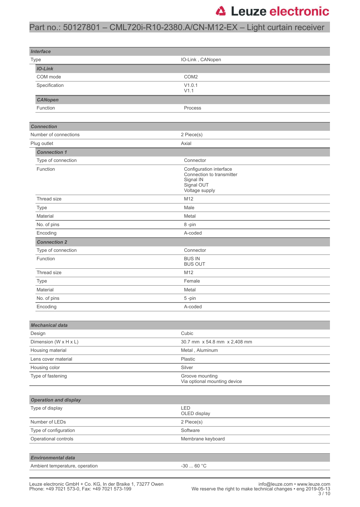## Part no.: 50127801 – CML720i-R10-2380.A/CN-M12-EX – Light curtain receiver

| <b>Interface</b>                          |                                                                                                   |  |
|-------------------------------------------|---------------------------------------------------------------------------------------------------|--|
| Type                                      | IO-Link, CANopen                                                                                  |  |
| <b>IO-Link</b>                            |                                                                                                   |  |
| COM mode                                  | COM <sub>2</sub>                                                                                  |  |
| Specification                             | V1.0.1<br>V1.1                                                                                    |  |
| <b>CANopen</b>                            |                                                                                                   |  |
| Function                                  | Process                                                                                           |  |
|                                           |                                                                                                   |  |
| <b>Connection</b>                         |                                                                                                   |  |
| Number of connections                     | 2 Piece(s)                                                                                        |  |
| Plug outlet                               | Axial                                                                                             |  |
| <b>Connection 1</b>                       |                                                                                                   |  |
| Type of connection                        | Connector                                                                                         |  |
| Function                                  | Configuration interface<br>Connection to transmitter<br>Signal IN<br>Signal OUT<br>Voltage supply |  |
| Thread size                               | M12                                                                                               |  |
| <b>Type</b>                               | Male                                                                                              |  |
| Material                                  | Metal                                                                                             |  |
| No. of pins                               | 8-pin                                                                                             |  |
| Encoding                                  | A-coded                                                                                           |  |
| <b>Connection 2</b>                       |                                                                                                   |  |
| Type of connection                        | Connector                                                                                         |  |
| Function                                  | <b>BUS IN</b><br><b>BUS OUT</b>                                                                   |  |
| Thread size                               | M12                                                                                               |  |
| <b>Type</b>                               | Female                                                                                            |  |
| Material                                  | Metal                                                                                             |  |
| No. of pins                               | 5-pin                                                                                             |  |
| Encoding                                  | A-coded                                                                                           |  |
|                                           |                                                                                                   |  |
| <b>Mechanical data</b>                    |                                                                                                   |  |
| Design                                    | Cubic                                                                                             |  |
| Dimension (W x H x L)                     | 30.7 mm x 54.8 mm x 2,408 mm                                                                      |  |
| Housing material                          | Metal, Aluminum                                                                                   |  |
| Lens cover material                       | Plastic                                                                                           |  |
| Housing color                             | Silver                                                                                            |  |
| Type of fastening                         | Groove mounting<br>Via optional mounting device                                                   |  |
|                                           |                                                                                                   |  |
| <b>Operation and display</b>              |                                                                                                   |  |
| Type of display                           | LED<br>OLED display                                                                               |  |
| Number of LEDs<br>2 Piece(s)              |                                                                                                   |  |
| Type of configuration                     | Software                                                                                          |  |
| Operational controls<br>Membrane keyboard |                                                                                                   |  |
|                                           |                                                                                                   |  |
| <b>Environmental data</b>                 |                                                                                                   |  |

Ambient temperature, operation  $-30$  ... 60 °C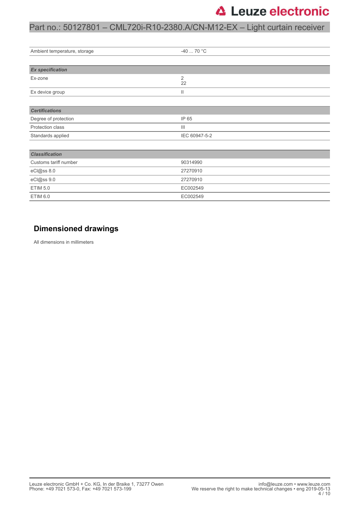## Part no.: 50127801 – CML720i-R10-2380.A/CN-M12-EX – Light curtain receiver

| Ambient temperature, storage | $-4070 °C$     |  |  |
|------------------------------|----------------|--|--|
|                              |                |  |  |
| <b>Ex specification</b>      |                |  |  |
| Ex-zone                      | 2<br>22        |  |  |
| Ex device group              | Ш              |  |  |
|                              |                |  |  |
| <b>Certifications</b>        |                |  |  |
| Degree of protection         | IP 65          |  |  |
| Protection class             | $\mathbf{III}$ |  |  |
| Standards applied            | IEC 60947-5-2  |  |  |
|                              |                |  |  |
| <b>Classification</b>        |                |  |  |
| Customs tariff number        | 90314990       |  |  |
| eCl@ss 8.0                   | 27270910       |  |  |
| eCl@ss 9.0                   | 27270910       |  |  |
| <b>ETIM 5.0</b>              | EC002549       |  |  |
| <b>ETIM 6.0</b>              | EC002549       |  |  |

### **Dimensioned drawings**

All dimensions in millimeters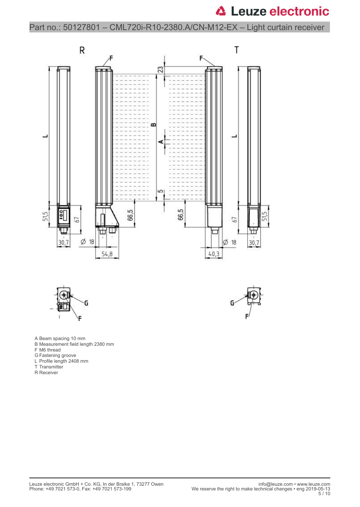Part no.: 50127801 – CML720i-R10-2380.A/CN-M12-EX – Light curtain receiver







- A Beam spacing 10 mm
- B Measurement field length 2380 mm
- F M6 thread
- G Fastening groove
- L Profile length 2408 mm
- T Transmitter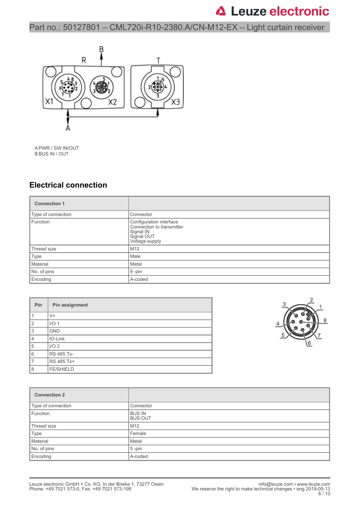Part no.: 50127801 – CML720i-R10-2380.A/CN-M12-EX – Light curtain receiver



A PWR / SW IN/OUT B BUS IN / OUT

### **Electrical connection**

| <b>Connection 1</b> |                                                                                                   |  |
|---------------------|---------------------------------------------------------------------------------------------------|--|
| Type of connection  | Connector                                                                                         |  |
| Function            | Configuration interface<br>Connection to transmitter<br>Signal IN<br>Signal OUT<br>Voltage supply |  |
| Thread size         | M12                                                                                               |  |
| Type                | Male                                                                                              |  |
| Material            | Metal                                                                                             |  |
| No. of pins         | 8-pin                                                                                             |  |
| Encoding            | A-coded                                                                                           |  |

| Pin            | Pin assignment    |
|----------------|-------------------|
|                | $V +$             |
| $\overline{2}$ | $I/O$ 1           |
| 3              | <b>GND</b>        |
| $\overline{4}$ | IO-Link           |
| 5              | I/O <sub>2</sub>  |
| 6              | <b>RS 485 Tx-</b> |
| $\overline{7}$ | RS 485 Tx+        |
| 8              | <b>FE/SHIELD</b>  |



| <b>Connection 2</b> |                                 |  |
|---------------------|---------------------------------|--|
| Type of connection  | Connector                       |  |
| Function            | <b>BUS IN</b><br><b>BUS OUT</b> |  |
| Thread size         | M <sub>12</sub>                 |  |
| Type                | Female                          |  |
| Material            | Metal                           |  |
| No. of pins         | $5$ -pin                        |  |
| Encoding            | A-coded                         |  |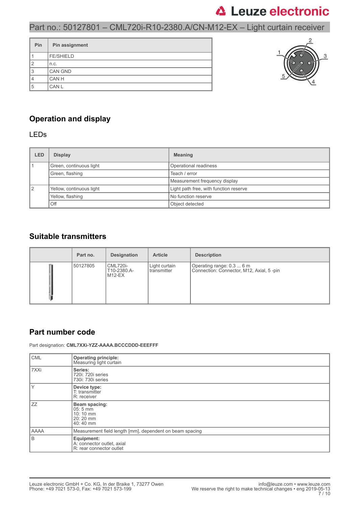## Part no.: 50127801 – CML720i-R10-2380.A/CN-M12-EX – Light curtain receiver

| Pin | Pin assignment   |
|-----|------------------|
|     | <b>FE/SHIELD</b> |
| 12  | n.c.             |
| 13  | CAN GND          |
| 4   | CAN H            |
| 5   | CAN L            |



### **Operation and display**

#### LEDs

| <b>LED</b>                     | <b>Display</b>          | <b>Meaning</b>                         |  |
|--------------------------------|-------------------------|----------------------------------------|--|
|                                | Green, continuous light | Operational readiness                  |  |
|                                | Green, flashing         | Teach / error                          |  |
|                                |                         | Measurement frequency display          |  |
| 12<br>Yellow, continuous light |                         | Light path free, with function reserve |  |
|                                | Yellow, flashing        | No function reserve                    |  |
|                                | Off                     | Object detected                        |  |

#### **Suitable transmitters**

| Part no. | <b>Designation</b>                       | <b>Article</b>                 | <b>Description</b>                                                     |
|----------|------------------------------------------|--------------------------------|------------------------------------------------------------------------|
| 50127805 | <b>CML720i-</b><br>T10-2380.A-<br>M12-EX | Light curtain<br>l transmitter | Operating range: 0.3  6 m<br>Connection: Connector, M12, Axial, 5 -pin |

#### **Part number code**

Part designation: **CML7XXi-YZZ-AAAA.BCCCDDD-EEEFFF**

| <b>CML</b>  | <b>Operating principle:</b><br>Measuring light curtain                    |  |  |
|-------------|---------------------------------------------------------------------------|--|--|
| 7XXi        | Series:<br>720i: 720i series<br>730i: 730i series                         |  |  |
| Υ           | Device type:<br>T: transmitter<br>R: receiver                             |  |  |
| ZZ          | Beam spacing:<br>$05:5 \, \text{mm}$<br>10:10 mm<br>20: 20 mm<br>40:40 mm |  |  |
| <b>AAAA</b> | Measurement field length [mm], dependent on beam spacing                  |  |  |
| B           | Equipment:<br>A: connector outlet, axial<br>R: rear connector outlet      |  |  |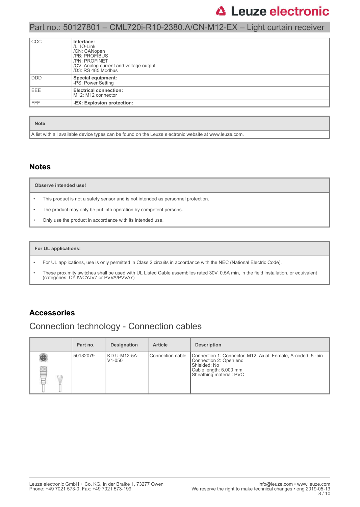### Part no.: 50127801 – CML720i-R10-2380.A/CN-M12-EX – Light curtain receiver

| ccc         | Interface:<br>$/L$ : IO-Link<br>/CN: CANopen<br>/PB: PROFIBUS<br>/PN: PROFINET<br>/CV: Analog current and voltage output<br>/D3: RS 485 Modbus |
|-------------|------------------------------------------------------------------------------------------------------------------------------------------------|
| l ddd       | Special equipment:<br>-PS: Power Setting                                                                                                       |
| <b>IEEE</b> | <b>Electrical connection:</b><br>M <sub>12</sub> : M <sub>12</sub> connector                                                                   |
| <b>IFFF</b> | -EX: Explosion protection:                                                                                                                     |

#### **Note**

A list with all available device types can be found on the Leuze electronic website at www.leuze.com.

#### **Notes**

#### **Observe intended use!**

- This product is not a safety sensor and is not intended as personnel protection.
- The product may only be put into operation by competent persons.
- Only use the product in accordance with its intended use.

#### **For UL applications:**

- For UL applications, use is only permitted in Class 2 circuits in accordance with the NEC (National Electric Code).
- These proximity switches shall be used with UL Listed Cable assemblies rated 30V, 0.5A min, in the field installation, or equivalent (categories: CYJV/CYJV7 or PVVA/PVVA7)

### **Accessories**

### Connection technology - Connection cables

|   | Part no. | <b>Designation</b>         | <b>Article</b>   | <b>Description</b>                                                                                                                                         |
|---|----------|----------------------------|------------------|------------------------------------------------------------------------------------------------------------------------------------------------------------|
| œ | 50132079 | KD U-M12-5A-<br>$V1 - 050$ | Connection cable | Connection 1: Connector, M12, Axial, Female, A-coded, 5-pin<br>Connection 2: Open end<br>Shielded: No<br>Cable length: 5,000 mm<br>Sheathing material: PVC |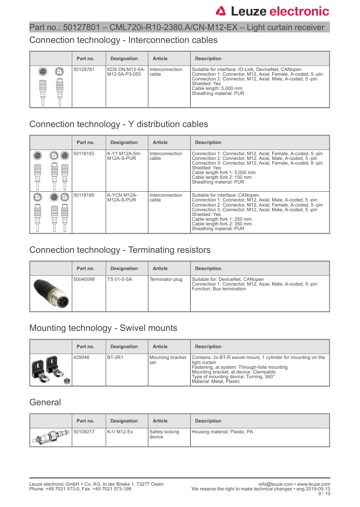### Part no.: 50127801 – CML720i-R10-2380.A/CN-M12-EX – Light curtain receiver

### Connection technology - Interconnection cables

|           | Part no. | <b>Designation</b>              | <b>Article</b>             | <b>Description</b>                                                                                                                                                                                                                                    |
|-----------|----------|---------------------------------|----------------------------|-------------------------------------------------------------------------------------------------------------------------------------------------------------------------------------------------------------------------------------------------------|
| Ø<br>tool | 50129781 | KDS DN-M12-5A-<br>M12-5A-P3-050 | I Interconnection<br>cable | Suitable for interface: IO-Link, DeviceNet, CANopen<br>Connection 1: Connector, M12, Axial, Female, A-coded, 5-pin<br>Connection 2: Connector, M12, Axial, Male, A-coded, 5-pin<br>Shielded: Yes<br>Cable length: 5,000 mm<br>Sheathing material: PUR |

## Connection technology - Y distribution cables

|        | Part no. | <b>Designation</b>            | <b>Article</b>             | <b>Description</b>                                                                                                                                                                                                                                                                                                                 |
|--------|----------|-------------------------------|----------------------------|------------------------------------------------------------------------------------------------------------------------------------------------------------------------------------------------------------------------------------------------------------------------------------------------------------------------------------|
| e<br>w | 50118183 | l K-Y1 M12A-5m-<br>M12A-S-PUR | Interconnection<br>cable   | Connection 1: Connector, M12, Axial, Female, A-coded, 5-pin<br>Connection 2: Connector, M12, Axial, Male, A-coded, 5-pin<br>Connection 3: Connector, M12, Axial, Female, A-coded, 8-pin<br>Shielded: Yes<br>Cable length fork 1: 5,000 mm<br>Cable length fork 2: 150 mm<br>Sheathing material: PUR                                |
|        | 50118185 | K-YCN M12A-<br>M12A-S-PUR     | I Interconnection<br>cable | Suitable for interface: CANopen<br>Connection 1: Connector, M12, Axial, Male, A-coded, 5-pin<br>Connection 2: Connector, M12, Axial, Female, A-coded, 5-pin<br>Connection 3: Connector, M12, Axial, Male, A-coded, 5-pin<br>Shielded: Yes<br>Cable length fork 1: 250 mm<br>Cable length fork 2: 350 mm<br>Sheathing material: PUR |

## Connection technology - Terminating resistors

| Part no. | <b>Designation</b> | <b>Article</b>  | <b>Description</b>                                                                                                         |
|----------|--------------------|-----------------|----------------------------------------------------------------------------------------------------------------------------|
| 50040099 | <b>TS 01-5-SA</b>  | Terminator plug | Suitable for: DeviceNet, CANopen<br>Connection 1: Connector, M12, Axial, Male, A-coded, 5-pin<br>Function: Bus termination |

## Mounting technology - Swivel mounts

| Part no. | <b>Designation</b> | <b>Article</b>          | <b>Description</b>                                                                                                                                                                                                                             |
|----------|--------------------|-------------------------|------------------------------------------------------------------------------------------------------------------------------------------------------------------------------------------------------------------------------------------------|
| 429046   | BT-2R1             | Mounting bracket<br>set | Contains: 2x BT-R swivel mount, 1 cylinder for mounting on the<br>light curtain<br>Fastening, at system: Through-hole mounting<br>Mounting bracket, at device: Clampable<br>Type of mounting device: Turning, 360°<br>Material: Metal, Plastic |

### **General**

|         | Part no. | <b>Designation</b> | <b>Article</b>           | <b>Description</b>            |
|---------|----------|--------------------|--------------------------|-------------------------------|
| AT FULL | 50109217 | K-V M12-Ex         | Safety locking<br>device | Housing material: Plastic, PA |